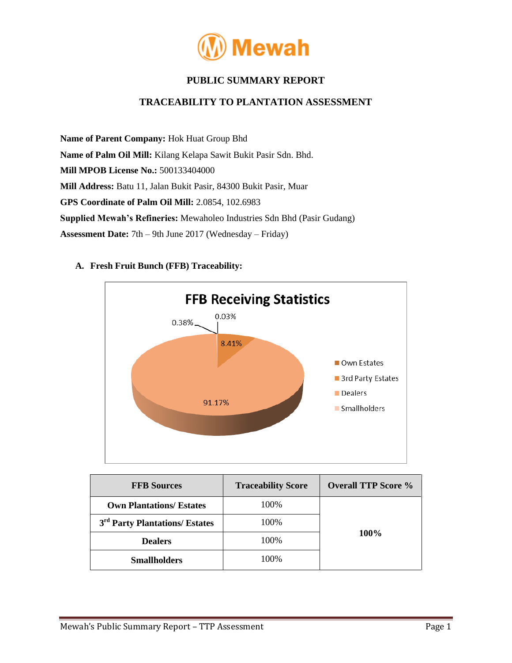

# **PUBLIC SUMMARY REPORT**

## **TRACEABILITY TO PLANTATION ASSESSMENT**

**Name of Parent Company:** Hok Huat Group Bhd **Name of Palm Oil Mill:** Kilang Kelapa Sawit Bukit Pasir Sdn. Bhd. **Mill MPOB License No.:** 500133404000 **Mill Address:** Batu 11, Jalan Bukit Pasir, 84300 Bukit Pasir, Muar **GPS Coordinate of Palm Oil Mill:** 2.0854, 102.6983 **Supplied Mewah's Refineries:** Mewaholeo Industries Sdn Bhd (Pasir Gudang) **Assessment Date:** 7th – 9th June 2017 (Wednesday – Friday)



#### **A. Fresh Fruit Bunch (FFB) Traceability:**

| <b>FFB Sources</b>                         | <b>Traceability Score</b> | <b>Overall TTP Score %</b> |  |
|--------------------------------------------|---------------------------|----------------------------|--|
| <b>Own Plantations/ Estates</b>            | 100%                      | $100\%$                    |  |
| 3 <sup>rd</sup> Party Plantations/ Estates | 100%                      |                            |  |
| <b>Dealers</b>                             | 100%                      |                            |  |
| <b>Smallholders</b>                        | 100%                      |                            |  |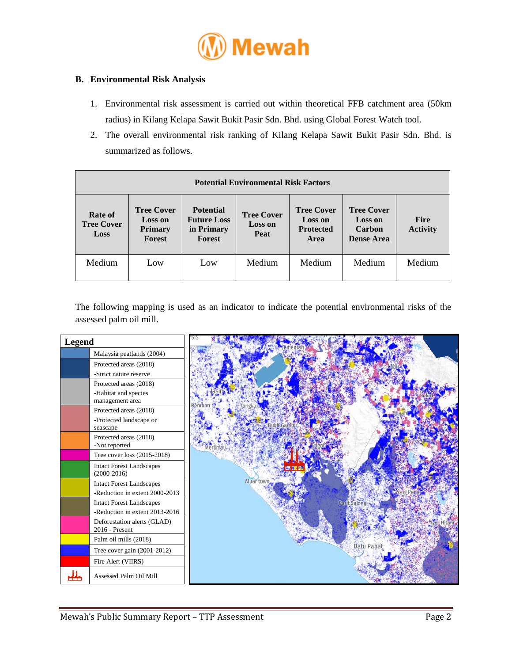

### **B. Environmental Risk Analysis**

- 1. Environmental risk assessment is carried out within theoretical FFB catchment area (50km radius) in Kilang Kelapa Sawit Bukit Pasir Sdn. Bhd. using Global Forest Watch tool.
- 2. The overall environmental risk ranking of Kilang Kelapa Sawit Bukit Pasir Sdn. Bhd. is summarized as follows.

| <b>Potential Environmental Risk Factors</b>        |                                                                        |                                                                |                                                    |                                                                 |                                                                    |                                |  |
|----------------------------------------------------|------------------------------------------------------------------------|----------------------------------------------------------------|----------------------------------------------------|-----------------------------------------------------------------|--------------------------------------------------------------------|--------------------------------|--|
| <b>Rate of</b><br><b>Tree Cover</b><br><b>Loss</b> | <b>Tree Cover</b><br><b>Loss on</b><br><b>Primary</b><br><b>Forest</b> | <b>Potential</b><br><b>Future Loss</b><br>in Primary<br>Forest | <b>Tree Cover</b><br><b>Loss on</b><br><b>Peat</b> | <b>Tree Cover</b><br><b>Loss on</b><br><b>Protected</b><br>Area | <b>Tree Cover</b><br><b>Loss on</b><br>Carbon<br><b>Dense Area</b> | <b>Fire</b><br><b>Activity</b> |  |
| Medium                                             | Low                                                                    | Low                                                            | Medium                                             | Medium                                                          | Medium                                                             | Medium                         |  |

The following mapping is used as an indicator to indicate the potential environmental risks of the assessed palm oil mill.